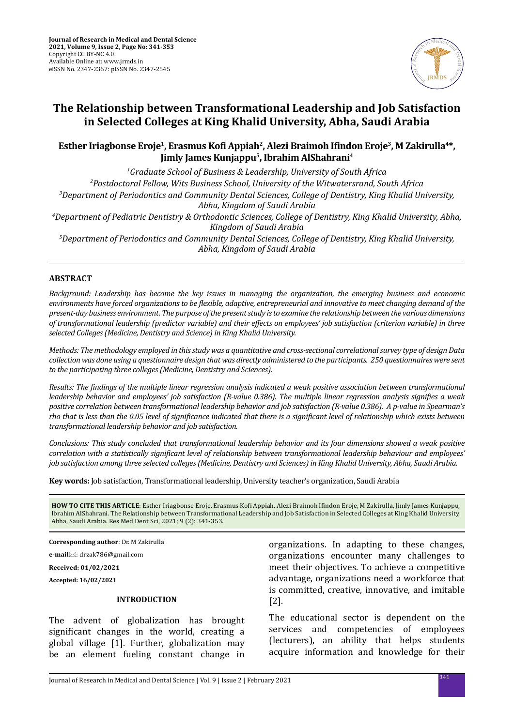

# **The Relationship between Transformational Leadership and Job Satisfaction in Selected Colleges at King Khalid University, Abha, Saudi Arabia**

## **Esther Iriagbonse Eroje1, Erasmus Kofi Appiah<sup>2</sup>, Alezi Braimoh Ifindon Eroje3, M Zakirulla4\*, Jimly James Kunjappu5, Ibrahim AlShahrani4**

*1 Graduate School of Business & Leadership, University of South Africa 2 Postdoctoral Fellow, Wits Business School, University of the Witwatersrand, South Africa 3 Department of Periodontics and Community Dental Sciences, College of Dentistry, King Khalid University, Abha, Kingdom of Saudi Arabia 4 Department of Pediatric Dentistry & Orthodontic Sciences, College of Dentistry, King Khalid University, Abha, Kingdom of Saudi Arabia 5 Department of Periodontics and Community Dental Sciences, College of Dentistry, King Khalid University, Abha, Kingdom of Saudi Arabia*

### **ABSTRACT**

*Background: Leadership has become the key issues in managing the organization, the emerging business and economic environments have forced organizations to be flexible, adaptive, entrepreneurial and innovative to meet changing demand of the present-day business environment. The purpose of the present study is to examine the relationship between the various dimensions of transformational leadership (predictor variable) and their effects on employees' job satisfaction (criterion variable) in three selected Colleges (Medicine, Dentistry and Science) in King Khalid University.* 

*Methods: The methodology employed in this study was a quantitative and cross-sectional correlational survey type of design Data collection was done using a questionnaire design that was directly administered to the participants. 250 questionnaires were sent to the participating three colleges (Medicine, Dentistry and Sciences).* 

*Results: The findings of the multiple linear regression analysis indicated a weak positive association between transformational leadership behavior and employees' job satisfaction (R-value 0.386). The multiple linear regression analysis signifies a weak positive correlation between transformational leadership behavior and job satisfaction (R-value 0.386). A p-value in Spearman's rho that is less than the 0.05 level of significance indicated that there is a significant level of relationship which exists between transformational leadership behavior and job satisfaction.* 

*Conclusions: This study concluded that transformational leadership behavior and its four dimensions showed a weak positive correlation with a statistically significant level of relationship between transformational leadership behaviour and employees' job satisfaction among three selected colleges (Medicine, Dentistry and Sciences) in King Khalid University, Abha, Saudi Arabia.*

**Key words:** Job satisfaction, Transformational leadership, University teacher's organization, Saudi Arabia

**HOW TO CITE THIS ARTICLE**: Esther Iriagbonse Eroje, Erasmus Kofi Appiah, Alezi Braimoh Ifindon Eroje, M Zakirulla, Jimly James Kunjappu, Ibrahim AlShahrani. The Relationship between Transformational Leadership and Job Satisfaction in Selected Colleges at King Khalid University, Abha, Saudi Arabia. Res Med Dent Sci, 2021; 9 (2): 341-353.

**Corresponding author**: Dr. M Zakirulla

**e-mail**: drzak786@gmail.com

**Received: 01/02/2021**

**Accepted: 16/02/2021**

## **INTRODUCTION**

The advent of globalization has brought significant changes in the world, creating a global village [1]. Further, globalization may be an element fueling constant change in organizations. In adapting to these changes, organizations encounter many challenges to meet their objectives. To achieve a competitive advantage, organizations need a workforce that is committed, creative, innovative, and imitable [2].

The educational sector is dependent on the services and competencies of employees (lecturers), an ability that helps students acquire information and knowledge for their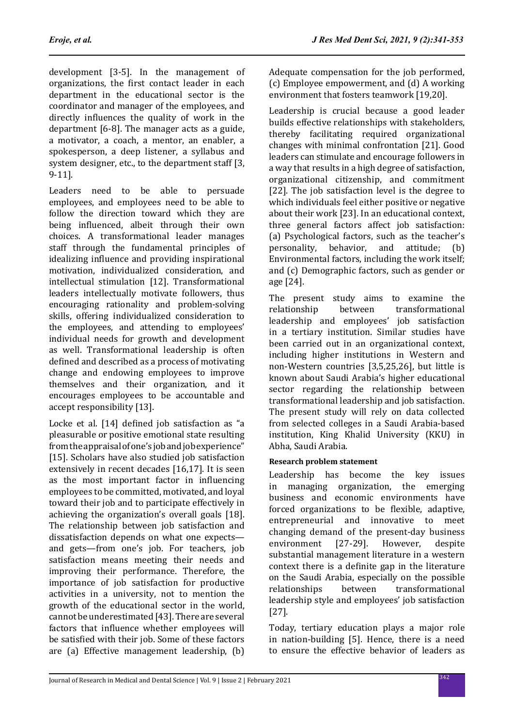development [3-5]. In the management of organizations, the first contact leader in each department in the educational sector is the coordinator and manager of the employees, and directly influences the quality of work in the department [6-8]. The manager acts as a guide, a motivator, a coach, a mentor, an enabler, a spokesperson, a deep listener, a syllabus and system designer, etc., to the department staff [3, 9-11].

Leaders need to be able to persuade employees, and employees need to be able to follow the direction toward which they are being influenced, albeit through their own choices. A transformational leader manages staff through the fundamental principles of idealizing influence and providing inspirational motivation, individualized consideration, and intellectual stimulation [12]. Transformational leaders intellectually motivate followers, thus encouraging rationality and problem-solving skills, offering individualized consideration to the employees, and attending to employees' individual needs for growth and development as well. Transformational leadership is often defined and described as a process of motivating change and endowing employees to improve themselves and their organization, and it encourages employees to be accountable and accept responsibility [13].

Locke et al. [14] defined job satisfaction as "a pleasurable or positive emotional state resulting from the appraisal of one's job and job experience" [15]. Scholars have also studied job satisfaction extensively in recent decades [16,17]. It is seen as the most important factor in influencing employees to be committed, motivated, and loyal toward their job and to participate effectively in achieving the organization's overall goals [18]. The relationship between job satisfaction and dissatisfaction depends on what one expects and gets—from one's job. For teachers, job satisfaction means meeting their needs and improving their performance. Therefore, the importance of job satisfaction for productive activities in a university, not to mention the growth of the educational sector in the world, cannot be underestimated [43]. There are several factors that influence whether employees will be satisfied with their job. Some of these factors are (a) Effective management leadership, (b) Adequate compensation for the job performed. (c) Employee empowerment, and (d) A working environment that fosters teamwork [19,20].

Leadership is crucial because a good leader builds effective relationships with stakeholders, thereby facilitating required organizational changes with minimal confrontation [21]. Good leaders can stimulate and encourage followers in a way that results in a high degree of satisfaction, organizational citizenship, and commitment [22]. The job satisfaction level is the degree to which individuals feel either positive or negative about their work [23]. In an educational context, three general factors affect job satisfaction: (a) Psychological factors, such as the teacher's personality, behavior, and attitude; (b) behavior, and attitude; (b) Environmental factors, including the work itself; and (c) Demographic factors, such as gender or age [24].

The present study aims to examine the<br>relationship between transformational transformational leadership and employees' job satisfaction in a tertiary institution. Similar studies have been carried out in an organizational context, including higher institutions in Western and non-Western countries [3,5,25,26], but little is known about Saudi Arabia's higher educational sector regarding the relationship between transformational leadership and job satisfaction. The present study will rely on data collected from selected colleges in a Saudi Arabia-based institution, King Khalid University (KKU) in Abha, Saudi Arabia.

## **Research problem statement**

Leadership has become the key issues in managing organization, the emerging business and economic environments have forced organizations to be flexible, adaptive, entrepreneurial and innovative to meet changing demand of the present-day business<br>environment [27-29]. However. despite environment substantial management literature in a western context there is a definite gap in the literature on the Saudi Arabia, especially on the possible<br>relationships between transformational transformational leadership style and employees' job satisfaction [27].

Today, tertiary education plays a major role in nation-building [5]. Hence, there is a need to ensure the effective behavior of leaders as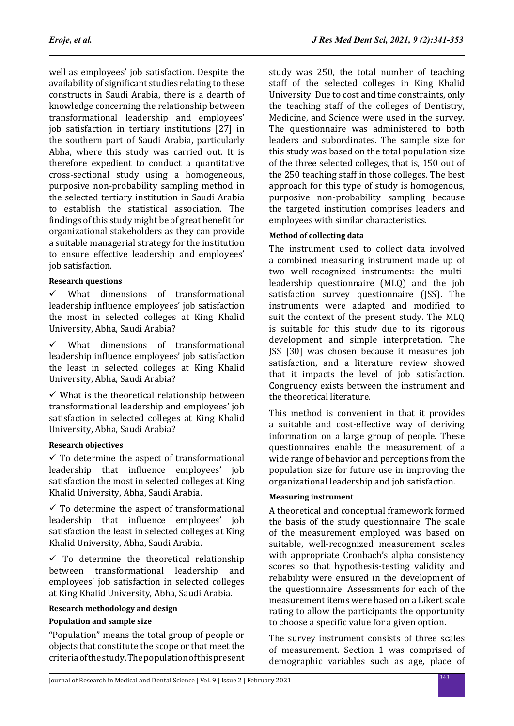well as employees' job satisfaction. Despite the availability of significant studies relating to these constructs in Saudi Arabia, there is a dearth of knowledge concerning the relationship between transformational leadership and employees' job satisfaction in tertiary institutions [27] in the southern part of Saudi Arabia, particularly Abha, where this study was carried out. It is therefore expedient to conduct a quantitative cross-sectional study using a homogeneous, purposive non-probability sampling method in the selected tertiary institution in Saudi Arabia to establish the statistical association. The findings of this study might be of great benefit for organizational stakeholders as they can provide a suitable managerial strategy for the institution to ensure effective leadership and employees' job satisfaction.

## **Research questions**

 $\checkmark$  What dimensions of transformational leadership influence employees' job satisfaction the most in selected colleges at King Khalid University, Abha, Saudi Arabia?

 $\checkmark$  What dimensions of transformational leadership influence employees' job satisfaction the least in selected colleges at King Khalid University, Abha, Saudi Arabia?

 $\checkmark$  What is the theoretical relationship between transformational leadership and employees' job satisfaction in selected colleges at King Khalid University, Abha, Saudi Arabia?

## **Research objectives**

 $\checkmark$  To determine the aspect of transformational leadership that influence employees' job satisfaction the most in selected colleges at King Khalid University, Abha, Saudi Arabia.

 $\checkmark$  To determine the aspect of transformational leadership that influence employees' job satisfaction the least in selected colleges at King Khalid University, Abha, Saudi Arabia.

 $\checkmark$  To determine the theoretical relationship between transformational leadership and employees' job satisfaction in selected colleges at King Khalid University, Abha, Saudi Arabia.

## **Research methodology and design**

## **Population and sample size**

"Population" means the total group of people or objects that constitute the scope or that meet the criteria of the study. The population of this present study was 250, the total number of teaching staff of the selected colleges in King Khalid University. Due to cost and time constraints, only the teaching staff of the colleges of Dentistry, Medicine, and Science were used in the survey. The questionnaire was administered to both leaders and subordinates. The sample size for this study was based on the total population size of the three selected colleges, that is, 150 out of the 250 teaching staff in those colleges. The best approach for this type of study is homogenous, purposive non-probability sampling because the targeted institution comprises leaders and employees with similar characteristics.

## **Method of collecting data**

The instrument used to collect data involved a combined measuring instrument made up of two well-recognized instruments: the multileadership questionnaire (MLQ) and the job satisfaction survey questionnaire (JSS). The instruments were adapted and modified to suit the context of the present study. The MLQ is suitable for this study due to its rigorous development and simple interpretation. The JSS [30] was chosen because it measures job satisfaction, and a literature review showed that it impacts the level of job satisfaction. Congruency exists between the instrument and the theoretical literature.

This method is convenient in that it provides a suitable and cost-effective way of deriving information on a large group of people. These questionnaires enable the measurement of a wide range of behavior and perceptions from the population size for future use in improving the organizational leadership and job satisfaction.

## **Measuring instrument**

A theoretical and conceptual framework formed the basis of the study questionnaire. The scale of the measurement employed was based on suitable, well-recognized measurement scales with appropriate Cronbach's alpha consistency scores so that hypothesis-testing validity and reliability were ensured in the development of the questionnaire. Assessments for each of the measurement items were based on a Likert scale rating to allow the participants the opportunity to choose a specific value for a given option.

The survey instrument consists of three scales of measurement. Section 1 was comprised of demographic variables such as age, place of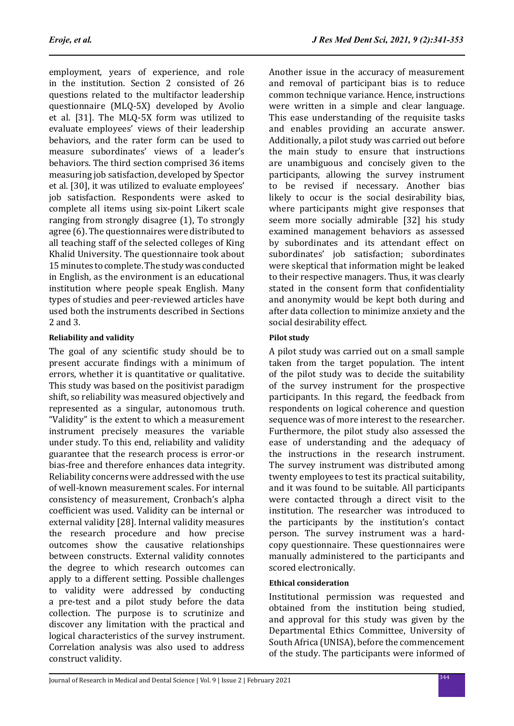employment, years of experience, and role in the institution. Section 2 consisted of 26 questions related to the multifactor leadership questionnaire (MLQ-5X) developed by Avolio et al. [31]. The MLQ-5X form was utilized to evaluate employees' views of their leadership behaviors, and the rater form can be used to measure subordinates' views of a leader's behaviors. The third section comprised 36 items measuring job satisfaction, developed by Spector et al. [30], it was utilized to evaluate employees' job satisfaction. Respondents were asked to complete all items using six-point Likert scale ranging from strongly disagree (1), To strongly agree (6). The questionnaires were distributed to all teaching staff of the selected colleges of King Khalid University. The questionnaire took about 15 minutes to complete. The study was conducted in English, as the environment is an educational institution where people speak English. Many types of studies and peer-reviewed articles have used both the instruments described in Sections 2 and 3.

## **Reliability and validity**

The goal of any scientific study should be to present accurate findings with a minimum of errors, whether it is quantitative or qualitative. This study was based on the positivist paradigm shift, so reliability was measured objectively and represented as a singular, autonomous truth. "Validity" is the extent to which a measurement instrument precisely measures the variable under study. To this end, reliability and validity guarantee that the research process is error-or bias-free and therefore enhances data integrity. Reliability concerns were addressed with the use of well-known measurement scales. For internal consistency of measurement, Cronbach's alpha coefficient was used. Validity can be internal or external validity [28]. Internal validity measures the research procedure and how precise outcomes show the causative relationships between constructs. External validity connotes the degree to which research outcomes can apply to a different setting. Possible challenges to validity were addressed by conducting a pre-test and a pilot study before the data collection. The purpose is to scrutinize and discover any limitation with the practical and logical characteristics of the survey instrument. Correlation analysis was also used to address construct validity.

Another issue in the accuracy of measurement and removal of participant bias is to reduce common technique variance. Hence, instructions were written in a simple and clear language. This ease understanding of the requisite tasks and enables providing an accurate answer. Additionally, a pilot study was carried out before the main study to ensure that instructions are unambiguous and concisely given to the participants, allowing the survey instrument to be revised if necessary. Another bias likely to occur is the social desirability bias, where participants might give responses that seem more socially admirable [32] his study examined management behaviors as assessed by subordinates and its attendant effect on subordinates' job satisfaction; subordinates were skeptical that information might be leaked to their respective managers. Thus, it was clearly stated in the consent form that confidentiality and anonymity would be kept both during and after data collection to minimize anxiety and the social desirability effect.

## **Pilot study**

A pilot study was carried out on a small sample taken from the target population. The intent of the pilot study was to decide the suitability of the survey instrument for the prospective participants. In this regard, the feedback from respondents on logical coherence and question sequence was of more interest to the researcher. Furthermore, the pilot study also assessed the ease of understanding and the adequacy of the instructions in the research instrument. The survey instrument was distributed among twenty employees to test its practical suitability, and it was found to be suitable. All participants were contacted through a direct visit to the institution. The researcher was introduced to the participants by the institution's contact person. The survey instrument was a hardcopy questionnaire. These questionnaires were manually administered to the participants and scored electronically.

## **Ethical consideration**

Institutional permission was requested and obtained from the institution being studied, and approval for this study was given by the Departmental Ethics Committee, University of South Africa (UNISA), before the commencement of the study. The participants were informed of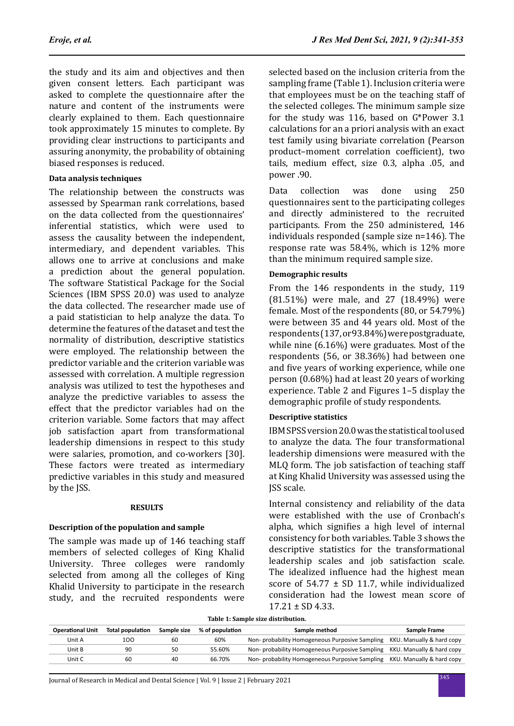the study and its aim and objectives and then given consent letters. Each participant was asked to complete the questionnaire after the nature and content of the instruments were clearly explained to them. Each questionnaire took approximately 15 minutes to complete. By providing clear instructions to participants and assuring anonymity, the probability of obtaining biased responses is reduced.

#### **Data analysis techniques**

The relationship between the constructs was assessed by Spearman rank correlations, based on the data collected from the questionnaires' inferential statistics, which were used to assess the causality between the independent, intermediary, and dependent variables. This allows one to arrive at conclusions and make a prediction about the general population. The software Statistical Package for the Social Sciences (IBM SPSS 20.0) was used to analyze the data collected. The researcher made use of a paid statistician to help analyze the data. To determine the features of the dataset and test the normality of distribution, descriptive statistics were employed. The relationship between the predictor variable and the criterion variable was assessed with correlation. A multiple regression analysis was utilized to test the hypotheses and analyze the predictive variables to assess the effect that the predictor variables had on the criterion variable. Some factors that may affect job satisfaction apart from transformational leadership dimensions in respect to this study were salaries, promotion, and co-workers [30]. These factors were treated as intermediary predictive variables in this study and measured by the JSS.

#### **RESULTS**

#### **Description of the population and sample**

The sample was made up of 146 teaching staff members of selected colleges of King Khalid University. Three colleges were randomly selected from among all the colleges of King Khalid University to participate in the research study, and the recruited respondents were selected based on the inclusion criteria from the sampling frame (Table 1). Inclusion criteria were that employees must be on the teaching staff of the selected colleges. The minimum sample size for the study was 116, based on G\*Power 3.1 calculations for an a priori analysis with an exact test family using bivariate correlation (Pearson product–moment correlation coefficient), two tails, medium effect, size 0.3, alpha .05, and power .90.

Data collection was done using 250 questionnaires sent to the participating colleges and directly administered to the recruited participants. From the 250 administered, 146 individuals responded (sample size n=146). The response rate was 58.4%, which is 12% more than the minimum required sample size.

#### **Demographic results**

From the 146 respondents in the study, 119 (81.51%) were male, and 27 (18.49%) were female. Most of the respondents (80, or 54.79%) were between 35 and 44 years old. Most of the respondents (137, or 93.84%) were postgraduate, while nine (6.16%) were graduates. Most of the respondents (56, or 38.36%) had between one and five years of working experience, while one person (0.68%) had at least 20 years of working experience. Table 2 and Figures 1–5 display the demographic profile of study respondents.

### **Descriptive statistics**

IBM SPSS version 20.0 was the statistical tool used to analyze the data. The four transformational leadership dimensions were measured with the MLQ form. The job satisfaction of teaching staff at King Khalid University was assessed using the JSS scale.

Internal consistency and reliability of the data were established with the use of Cronbach's alpha, which signifies a high level of internal consistency for both variables. Table 3 shows the descriptive statistics for the transformational leadership scales and job satisfaction scale. The idealized influence had the highest mean score of  $54.77 \pm SD$  11.7, while individualized consideration had the lowest mean score of  $17.21 \pm SD$  4.33.

|  |  |  |  |  | Table 1: Sample size distribution. |
|--|--|--|--|--|------------------------------------|
|--|--|--|--|--|------------------------------------|

| <b>Operational Unit</b> | <b>Total population</b> | Sample size | % of population | Sample method                                                             | Sample Frame |
|-------------------------|-------------------------|-------------|-----------------|---------------------------------------------------------------------------|--------------|
| Unit A                  | 100                     | 60          | 60%             | Non- probability Homogeneous Purposive Sampling KKU. Manually & hard copy |              |
| Unit B                  | 90                      | 50          | 55.60%          | Non- probability Homogeneous Purposive Sampling KKU. Manually & hard copy |              |
| Unit C                  | 60                      | 40          | 66.70%          | Non- probability Homogeneous Purposive Sampling KKU. Manually & hard copy |              |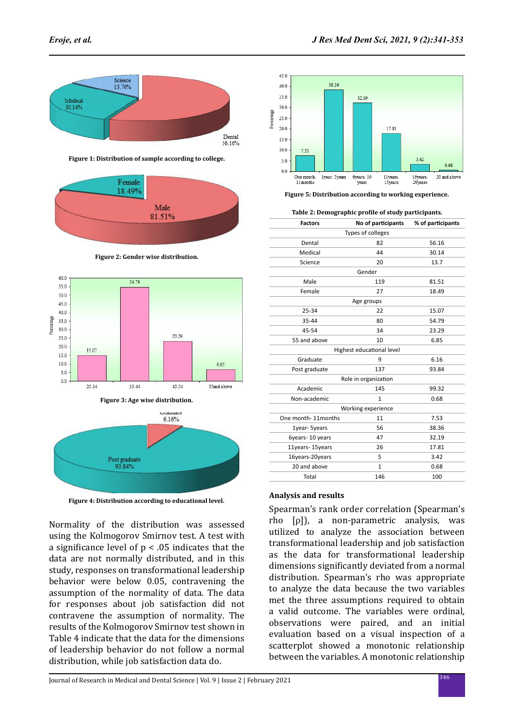

**Figure 1: Distribution of sample according to college.**



**Figure 2: Gender wise distribution.**



**Figure 4: Distribution according to educational level.**

Normality of the distribution was assessed using the Kolmogorov Smirnov test. A test with a significance level of  $p < .05$  indicates that the data are not normally distributed, and in this study, responses on transformational leadership behavior were below 0.05, contravening the assumption of the normality of data. The data for responses about job satisfaction did not contravene the assumption of normality. The results of the Kolmogorov Smirnov test shown in Table 4 indicate that the data for the dimensions of leadership behavior do not follow a normal distribution, while job satisfaction data do.



**Figure 5: Distribution according to working experience.**

#### **Table 2: Demographic profile of study participants.**

| <b>Factors</b>            | No of participants % of participants |       |  |  |  |  |  |  |
|---------------------------|--------------------------------------|-------|--|--|--|--|--|--|
| Types of colleges         |                                      |       |  |  |  |  |  |  |
| Dental                    | 82                                   | 56.16 |  |  |  |  |  |  |
| Medical                   | 44                                   | 30.14 |  |  |  |  |  |  |
| Science                   | 20                                   | 13.7  |  |  |  |  |  |  |
| Gender                    |                                      |       |  |  |  |  |  |  |
| Male                      | 119                                  | 81.51 |  |  |  |  |  |  |
| Female                    | 27                                   | 18.49 |  |  |  |  |  |  |
|                           | Age groups                           |       |  |  |  |  |  |  |
| 25-34                     | 22                                   | 15.07 |  |  |  |  |  |  |
| 35-44                     | 80                                   | 54.79 |  |  |  |  |  |  |
| 45-54                     | 34                                   | 23.29 |  |  |  |  |  |  |
| 55 and above              | 10                                   | 6.85  |  |  |  |  |  |  |
| Highest educational level |                                      |       |  |  |  |  |  |  |
| Graduate                  | 9                                    | 6.16  |  |  |  |  |  |  |
| Post graduate             | 137                                  | 93.84 |  |  |  |  |  |  |
| Role in organization      |                                      |       |  |  |  |  |  |  |
| Academic                  | 145                                  | 99.32 |  |  |  |  |  |  |
| Non-academic              | 1                                    | 0.68  |  |  |  |  |  |  |
|                           | Working experience                   |       |  |  |  |  |  |  |
| One month-11 months       | 11                                   | 7.53  |  |  |  |  |  |  |
| 1year- 5years             | 56                                   | 38.36 |  |  |  |  |  |  |
| 6years-10 years           | 47                                   | 32.19 |  |  |  |  |  |  |
| 11years-15years           | 26                                   | 17.81 |  |  |  |  |  |  |
| 16years-20years           | 5                                    | 3.42  |  |  |  |  |  |  |
| 20 and above              | $\mathbf{1}$                         | 0.68  |  |  |  |  |  |  |
| Total                     | 146                                  | 100   |  |  |  |  |  |  |
|                           |                                      |       |  |  |  |  |  |  |

#### **Analysis and results**

Spearman's rank order correlation (Spearman's rho [ρ]), a non-parametric analysis, was utilized to analyze the association between transformational leadership and job satisfaction as the data for transformational leadership dimensions significantly deviated from a normal distribution. Spearman's rho was appropriate to analyze the data because the two variables met the three assumptions required to obtain a valid outcome. The variables were ordinal, observations were paired, and an initial evaluation based on a visual inspection of a scatterplot showed a monotonic relationship between the variables. A monotonic relationship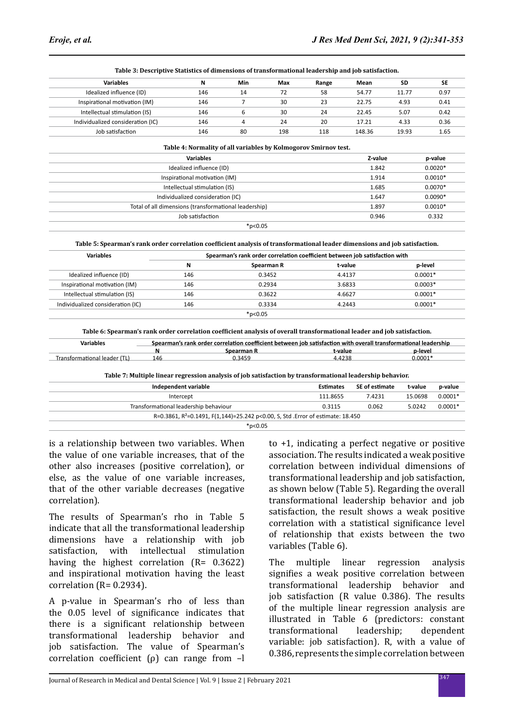| <b>Variables</b>                                                                                                            | N                                                     | Min | Max        | Range                                                                       | Mean               | <b>SD</b>          | <b>SE</b> |  |  |  |
|-----------------------------------------------------------------------------------------------------------------------------|-------------------------------------------------------|-----|------------|-----------------------------------------------------------------------------|--------------------|--------------------|-----------|--|--|--|
| Idealized influence (ID)                                                                                                    | 146                                                   | 14  | 72         | 58                                                                          | 54.77              | 11.77              | 0.97      |  |  |  |
| Inspirational motivation (IM)                                                                                               | 146                                                   | 7   | 30         | 23                                                                          | 22.75              | 4.93               | 0.41      |  |  |  |
| Intellectual stimulation (IS)                                                                                               | 146                                                   | 6   | 30         | 24                                                                          | 22.45              | 5.07               | 0.42      |  |  |  |
| Individualized consideration (IC)                                                                                           | 146                                                   | 4   | 24         | 20                                                                          | 17.21              | 4.33               | 0.36      |  |  |  |
| Job satisfaction                                                                                                            | 146                                                   | 80  | 198        | 118                                                                         | 148.36             | 19.93              | 1.65      |  |  |  |
| Table 4: Normality of all variables by Kolmogorov Smirnov test.                                                             |                                                       |     |            |                                                                             |                    |                    |           |  |  |  |
|                                                                                                                             | <b>Variables</b>                                      |     |            |                                                                             | Z-value            |                    | p-value   |  |  |  |
|                                                                                                                             | Idealized influence (ID)                              |     |            |                                                                             |                    | $0.0020*$<br>1.842 |           |  |  |  |
|                                                                                                                             | Inspirational motivation (IM)                         |     |            |                                                                             |                    | $0.0010*$<br>1.914 |           |  |  |  |
| Intellectual stimulation (IS)                                                                                               |                                                       |     |            |                                                                             | 1.685              | $0.0070*$          |           |  |  |  |
| Individualized consideration (IC)                                                                                           |                                                       |     |            |                                                                             | 1.647              | $0.0090*$          |           |  |  |  |
|                                                                                                                             | Total of all dimensions (transformational leadership) |     |            |                                                                             | 1.897<br>$0.0010*$ |                    |           |  |  |  |
| Job satisfaction<br>0.946                                                                                                   |                                                       |     |            |                                                                             |                    | 0.332              |           |  |  |  |
|                                                                                                                             | $*p<0.05$                                             |     |            |                                                                             |                    |                    |           |  |  |  |
| Table 5: Spearman's rank order correlation coefficient analysis of transformational leader dimensions and job satisfaction. |                                                       |     |            |                                                                             |                    |                    |           |  |  |  |
| <b>Variables</b>                                                                                                            |                                                       |     |            | Spearman's rank order correlation coefficient between job satisfaction with |                    |                    |           |  |  |  |
|                                                                                                                             | N                                                     |     | Spearman R |                                                                             | t-value            |                    | p-level   |  |  |  |
| Idealized influence (ID)                                                                                                    | 146                                                   |     | 0.3452     |                                                                             | 4.4137             |                    | $0.0001*$ |  |  |  |
| Inspirational motivation (IM)                                                                                               | 146                                                   |     | 0.2934     |                                                                             | 3.6833             |                    | $0.0003*$ |  |  |  |
| Intellectual stimulation (IS)                                                                                               | 146                                                   |     | 0.3622     |                                                                             | 4.6627             |                    | $0.0001*$ |  |  |  |
| Individualized consideration (IC)                                                                                           | 146                                                   |     | 0.3334     |                                                                             | 4.2443             |                    | $0.0001*$ |  |  |  |
|                                                                                                                             |                                                       |     |            |                                                                             |                    |                    |           |  |  |  |

**Table 3: Descriptive Statistics of dimensions of transformational leadership and job satisfaction.**

|           | Table 6: Spearman's rank order correlation coefficient analysis of overall transformational leader and job satisfaction. |
|-----------|--------------------------------------------------------------------------------------------------------------------------|
| Variables | Spearman's rank order correlation coefficient between job satisfaction with overall transformational leadership          |

\*p<0.05

| vanavies                     |     | suedimali s faily videl correlation coemclem between lob sausiaction with overall transivilliational leagership |        |         |
|------------------------------|-----|-----------------------------------------------------------------------------------------------------------------|--------|---------|
|                              |     | Spearman R                                                                                                      | -value | o-level |
| Transformational leader (TL) | 146 | J.345°                                                                                                          |        | J.0001  |
|                              |     |                                                                                                                 |        |         |

**Table 7: Multiple linear regression analysis of job satisfaction by transformational leadership behavior.**

| Independent variable                                                                         | <b>Estimates</b> | SE of estimate | t-value | p-value   |  |  |
|----------------------------------------------------------------------------------------------|------------------|----------------|---------|-----------|--|--|
| Intercept                                                                                    | 111.8655         | 7.4231         | 15.0698 | $0.0001*$ |  |  |
| Transformational leadership behaviour                                                        | 0.3115           | 0.062          | 5.0242  | $0.0001*$ |  |  |
| R=0.3861, R <sup>2</sup> =0.1491, F(1,144)=25.242 p<0.00, S, Std . Error of estimate: 18.450 |                  |                |         |           |  |  |
| $*$ p<0.05                                                                                   |                  |                |         |           |  |  |

is a relationship between two variables. When the value of one variable increases, that of the other also increases (positive correlation), or else, as the value of one variable increases, that of the other variable decreases (negative correlation).

The results of Spearman's rho in Table 5 indicate that all the transformational leadership dimensions have a relationship with job satisfaction, with intellectual stimulation having the highest correlation (R= 0.3622) and inspirational motivation having the least correlation (R= 0.2934).

A p-value in Spearman's rho of less than the 0.05 level of significance indicates that there is a significant relationship between transformational leadership behavior and job satisfaction. The value of Spearman's correlation coefficient (ρ) can range from –l to +1, indicating a perfect negative or positive association. The results indicated a weak positive correlation between individual dimensions of transformational leadership and job satisfaction, as shown below (Table 5). Regarding the overall transformational leadership behavior and job satisfaction, the result shows a weak positive correlation with a statistical significance level of relationship that exists between the two variables (Table 6).

The multiple linear regression analysis signifies a weak positive correlation between transformational leadership behavior and job satisfaction (R value 0.386). The results of the multiple linear regression analysis are illustrated in Table 6 (predictors: constant<br>transformational leadership; dependent transformational variable: job satisfaction). R, with a value of 0.386, represents the simple correlation between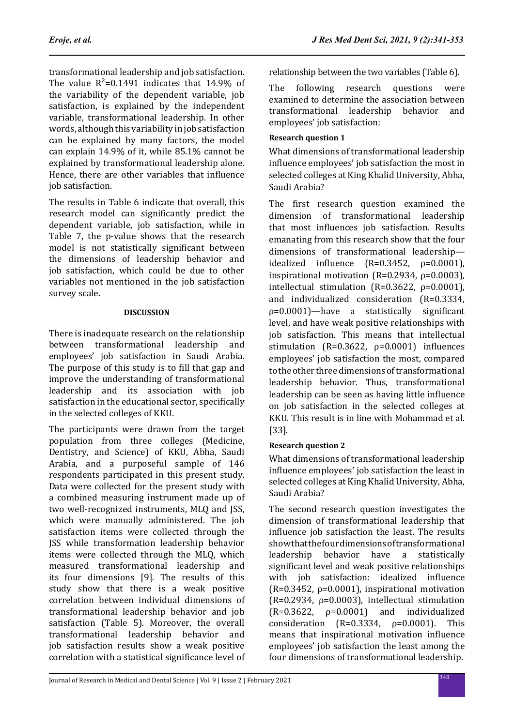transformational leadership and job satisfaction. The value  $R^2$ =0.1491 indicates that 14.9% of the variability of the dependent variable, job satisfaction, is explained by the independent variable, transformational leadership. In other words, although this variability in job satisfaction can be explained by many factors, the model can explain 14.9% of it, while 85.1% cannot be explained by transformational leadership alone. Hence, there are other variables that influence job satisfaction.

The results in Table 6 indicate that overall, this research model can significantly predict the dependent variable, job satisfaction, while in Table 7, the p-value shows that the research model is not statistically significant between the dimensions of leadership behavior and job satisfaction, which could be due to other variables not mentioned in the job satisfaction survey scale.

## **DISCUSSION**

There is inadequate research on the relationship between transformational leadership and employees' job satisfaction in Saudi Arabia. The purpose of this study is to fill that gap and improve the understanding of transformational leadership and its association with job satisfaction in the educational sector, specifically in the selected colleges of KKU.

The participants were drawn from the target population from three colleges (Medicine, Dentistry, and Science) of KKU, Abha, Saudi Arabia, and a purposeful sample of 146 respondents participated in this present study. Data were collected for the present study with a combined measuring instrument made up of two well-recognized instruments, MLQ and JSS, which were manually administered. The job satisfaction items were collected through the JSS while transformation leadership behavior items were collected through the MLQ, which measured transformational leadership and its four dimensions [9]. The results of this study show that there is a weak positive correlation between individual dimensions of transformational leadership behavior and job satisfaction (Table 5). Moreover, the overall transformational leadership behavior and job satisfaction results show a weak positive correlation with a statistical significance level of

relationship between the two variables (Table 6).

The following research questions were examined to determine the association between transformational leadership behavior and employees' job satisfaction:

## **Research question 1**

What dimensions of transformational leadership influence employees' job satisfaction the most in selected colleges at King Khalid University, Abha, Saudi Arabia?

The first research question examined the dimension of transformational leadership that most influences job satisfaction. Results emanating from this research show that the four dimensions of transformational leadership idealized influence  $(R=0.3452, p=0.0001)$ , inspirational motivation ( $R=0.2934$ ,  $\rho=0.0003$ ), intellectual stimulation ( $R=0.3622$ ,  $\rho=0.0001$ ), and individualized consideration (R=0.3334, ρ=0.0001)—have a statistically significant level, and have weak positive relationships with job satisfaction. This means that intellectual stimulation (R=0.3622, ρ=0.0001) influences employees' job satisfaction the most, compared to the other three dimensions of transformational leadership behavior. Thus, transformational leadership can be seen as having little influence on job satisfaction in the selected colleges at KKU. This result is in line with Mohammad et al. [33].

## **Research question 2**

What dimensions of transformational leadership influence employees' job satisfaction the least in selected colleges at King Khalid University, Abha, Saudi Arabia?

The second research question investigates the dimension of transformational leadership that influence job satisfaction the least. The results show that the four dimensions of transformational leadership behavior have a statistically significant level and weak positive relationships with job satisfaction: idealized influence ( $R=0.3452$ ,  $\rho=0.0001$ ), inspirational motivation  $(R=0.2934, \rho=0.0003)$ , intellectual stimulation  $(R=0.3622, \quad p=0.0001)$  and individualized consideration  $(R=0.3334, \rho=0.0001)$ . This means that inspirational motivation influence employees' job satisfaction the least among the four dimensions of transformational leadership.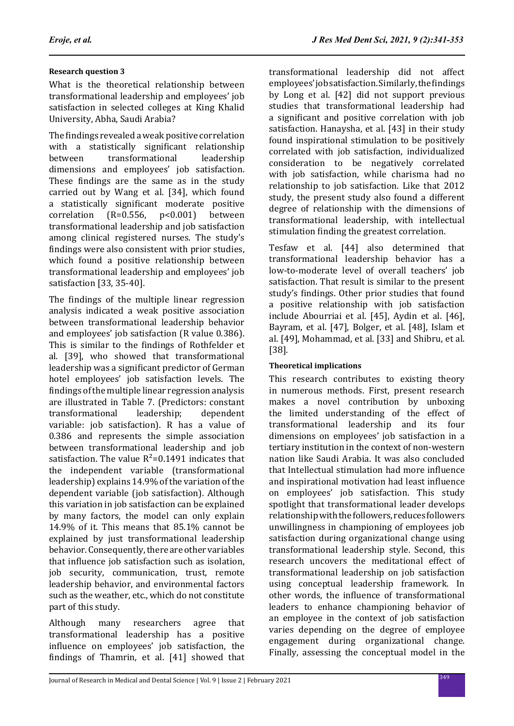## **Research question 3**

What is the theoretical relationship between transformational leadership and employees' job satisfaction in selected colleges at King Khalid University, Abha, Saudi Arabia?

The findings revealed a weak positive correlation with a statistically significant relationship<br>between transformational leadership transformational dimensions and employees' job satisfaction. These findings are the same as in the study carried out by Wang et al. [34], which found a statistically significant moderate positive<br>correlation  $(R=0.556, p<0.001)$  between correlation transformational leadership and job satisfaction among clinical registered nurses. The study's findings were also consistent with prior studies, which found a positive relationship between transformational leadership and employees' job satisfaction [33, 35-40].

The findings of the multiple linear regression analysis indicated a weak positive association between transformational leadership behavior and employees' job satisfaction (R value 0.386). This is similar to the findings of Rothfelder et al. [39], who showed that transformational leadership was a significant predictor of German hotel employees' job satisfaction levels. The findings of the multiple linear regression analysis are illustrated in Table 7. (Predictors: constant transformational variable: job satisfaction). R has a value of 0.386 and represents the simple association between transformational leadership and job satisfaction. The value  $R^2$ =0.1491 indicates that the independent variable (transformational leadership) explains 14.9% of the variation of the dependent variable (job satisfaction). Although this variation in job satisfaction can be explained by many factors, the model can only explain 14.9% of it. This means that 85.1% cannot be explained by just transformational leadership behavior. Consequently, there are other variables that influence job satisfaction such as isolation, job security, communication, trust, remote leadership behavior, and environmental factors such as the weather, etc., which do not constitute part of this study.

Although many researchers agree that transformational leadership has a positive influence on employees' job satisfaction, the findings of Thamrin, et al. [41] showed that transformational leadership did not affect employees' job satisfaction. Similarly, the findings by Long et al. [42] did not support previous studies that transformational leadership had a significant and positive correlation with job satisfaction. Hanaysha, et al. [43] in their study found inspirational stimulation to be positively correlated with job satisfaction, individualized consideration to be negatively correlated with job satisfaction, while charisma had no relationship to job satisfaction. Like that 2012 study, the present study also found a different degree of relationship with the dimensions of transformational leadership, with intellectual stimulation finding the greatest correlation.

Tesfaw et al. [44] also determined that transformational leadership behavior has a low-to-moderate level of overall teachers' job satisfaction. That result is similar to the present study's findings. Other prior studies that found a positive relationship with job satisfaction include Abourriai et al. [45], Aydin et al. [46], Bayram, et al. [47], Bolger, et al. [48], Islam et al. [49], Mohammad, et al. [33] and Shibru, et al. [38].

## **Theoretical implications**

This research contributes to existing theory in numerous methods. First, present research makes a novel contribution by unboxing the limited understanding of the effect of transformational leadership and its four dimensions on employees' job satisfaction in a tertiary institution in the context of non-western nation like Saudi Arabia. It was also concluded that Intellectual stimulation had more influence and inspirational motivation had least influence on employees' job satisfaction. This study spotlight that transformational leader develops relationship with the followers, reduces followers unwillingness in championing of employees job satisfaction during organizational change using transformational leadership style. Second, this research uncovers the meditational effect of transformational leadership on job satisfaction using conceptual leadership framework. In other words, the influence of transformational leaders to enhance championing behavior of an employee in the context of job satisfaction varies depending on the degree of employee engagement during organizational change. Finally, assessing the conceptual model in the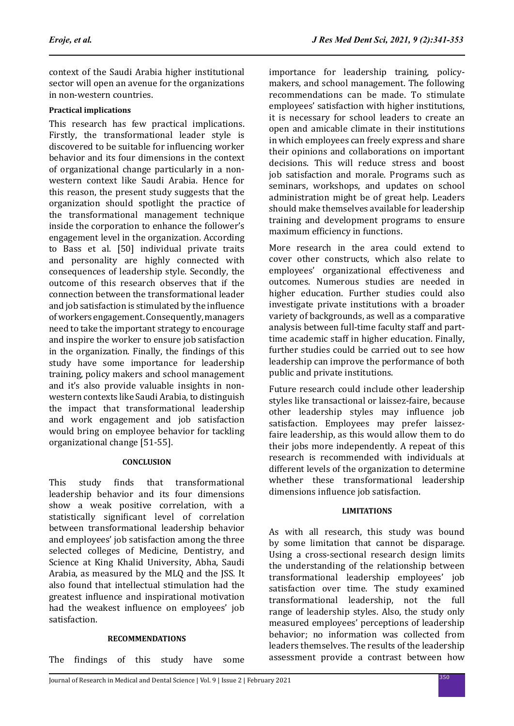context of the Saudi Arabia higher institutional sector will open an avenue for the organizations in non-western countries.

## **Practical implications**

This research has few practical implications. Firstly, the transformational leader style is discovered to be suitable for influencing worker behavior and its four dimensions in the context of organizational change particularly in a nonwestern context like Saudi Arabia. Hence for this reason, the present study suggests that the organization should spotlight the practice of the transformational management technique inside the corporation to enhance the follower's engagement level in the organization. According to Bass et al. [50] individual private traits and personality are highly connected with consequences of leadership style. Secondly, the outcome of this research observes that if the connection between the transformational leader and job satisfaction is stimulated by the influence of workers engagement. Consequently, managers need to take the important strategy to encourage and inspire the worker to ensure job satisfaction in the organization. Finally, the findings of this study have some importance for leadership training, policy makers and school management and it's also provide valuable insights in nonwestern contexts like Saudi Arabia, to distinguish the impact that transformational leadership and work engagement and job satisfaction would bring on employee behavior for tackling organizational change [51-55].

### **CONCLUSION**

This study finds that transformational leadership behavior and its four dimensions show a weak positive correlation, with a statistically significant level of correlation between transformational leadership behavior and employees' job satisfaction among the three selected colleges of Medicine, Dentistry, and Science at King Khalid University, Abha, Saudi Arabia, as measured by the MLQ and the JSS. It also found that intellectual stimulation had the greatest influence and inspirational motivation had the weakest influence on employees' job satisfaction.

#### **RECOMMENDATIONS**

The findings of this study have some

importance for leadership training, policymakers, and school management. The following recommendations can be made. To stimulate employees' satisfaction with higher institutions, it is necessary for school leaders to create an open and amicable climate in their institutions in which employees can freely express and share their opinions and collaborations on important decisions. This will reduce stress and boost job satisfaction and morale. Programs such as seminars, workshops, and updates on school administration might be of great help. Leaders should make themselves available for leadership training and development programs to ensure maximum efficiency in functions.

More research in the area could extend to cover other constructs, which also relate to employees' organizational effectiveness and outcomes. Numerous studies are needed in higher education. Further studies could also investigate private institutions with a broader variety of backgrounds, as well as a comparative analysis between full-time faculty staff and parttime academic staff in higher education. Finally, further studies could be carried out to see how leadership can improve the performance of both public and private institutions.

Future research could include other leadership styles like transactional or laissez-faire, because other leadership styles may influence job satisfaction. Employees may prefer laissezfaire leadership, as this would allow them to do their jobs more independently. A repeat of this research is recommended with individuals at different levels of the organization to determine whether these transformational leadership dimensions influence job satisfaction.

### **LIMITATIONS**

As with all research, this study was bound by some limitation that cannot be disparage. Using a cross-sectional research design limits the understanding of the relationship between transformational leadership employees' job satisfaction over time. The study examined transformational leadership, not the full range of leadership styles. Also, the study only measured employees' perceptions of leadership behavior; no information was collected from leaders themselves. The results of the leadership assessment provide a contrast between how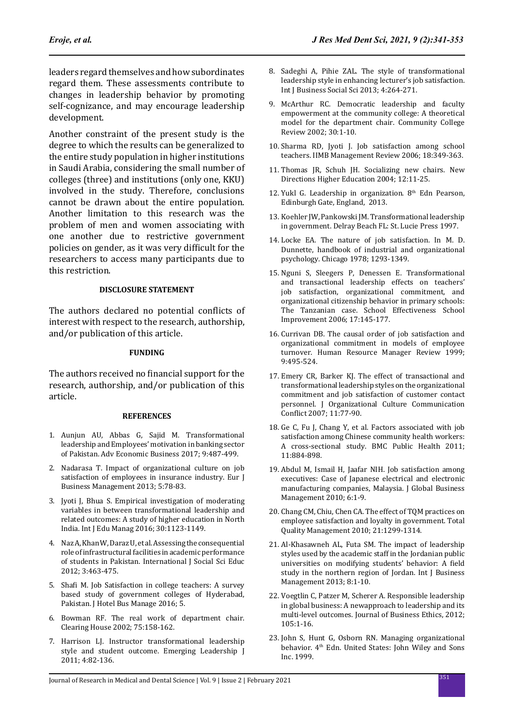leaders regard themselves and how subordinates regard them. These assessments contribute to changes in leadership behavior by promoting self-cognizance, and may encourage leadership development.

Another constraint of the present study is the degree to which the results can be generalized to the entire study population in higher institutions in Saudi Arabia, considering the small number of colleges (three) and institutions (only one, KKU) involved in the study. Therefore, conclusions cannot be drawn about the entire population. Another limitation to this research was the problem of men and women associating with one another due to restrictive government policies on gender, as it was very difficult for the researchers to access many participants due to this restriction.

#### **DISCLOSURE STATEMENT**

The authors declared no potential conflicts of interest with respect to the research, authorship, and/or publication of this article.

#### **FUNDING**

The authors received no financial support for the research, authorship, and/or publication of this article.

#### **REFERENCES**

- 1. Aunjun AU, Abbas G, Sajid M. Transformational leadership and Employees' motivation in banking sector of Pakistan. Adv Economic Business 2017; 9:487-499.
- 2. Nadarasa T. Impact of organizational culture on job satisfaction of employees in insurance industry. Eur J Business Management 2013; 5:78-83.
- 3. Jyoti J, Bhua S. Empirical investigation of moderating variables in between transformational leadership and related outcomes: A study of higher education in North India. Int J Edu Manag 2016; 30:1123-1149.
- 4. Naz A, Khan W, Daraz U, et al. Assessing the consequential role of infrastructural facilities in academic performance of students in Pakistan. International J Social Sci Educ 2012; 3:463-475.
- 5. Shafi M. Job Satisfaction in college teachers: A survey based study of government colleges of Hyderabad, Pakistan. J Hotel Bus Manage 2016; 5.
- 6. Bowman RF. The real work of department chair. Clearing House 2002; 75:158-162.
- 7. Harrison LJ. Instructor transformational leadership style and student outcome. Emerging Leadership J 2011; 4:82-136.
- 8. Sadeghi A, Pihie ZAL. The style of transformational leadership style in enhancing lecturer's job satisfaction. Int J Business Social Sci 2013; 4:264-271.
- 9. McArthur RC. Democratic leadership and faculty empowerment at the community college: A theoretical model for the department chair. Community College Review 2002; 30:1-10.
- 10. Sharma RD, Jyoti J. Job satisfaction among school teachers. IIMB Management Review 2006; 18:349-363.
- 11. Thomas JR, Schuh JH. Socializing new chairs. New Directions Higher Education 2004; 12:11-25.
- 12. Yukl G. Leadership in organization.  $8<sup>th</sup>$  Edn Pearson, Edinburgh Gate, England, 2013.
- 13. Koehler JW, Pankowski JM. Transformational leadership in government. Delray Beach FL: St. Lucie Press 1997.
- 14. Locke EA. The nature of job satisfaction. In M. D. Dunnette, handbook of industrial and organizational psychology. Chicago 1978; 1293-1349.
- 15. Nguni S, Sleegers P, Denessen E. Transformational and transactional leadership effects on teachers' job satisfaction, organizational commitment, and organizational citizenship behavior in primary schools: The Tanzanian case. School Effectiveness School Improvement 2006; 17:145-177.
- 16. Currivan DB. The causal order of job satisfaction and organizational commitment in models of employee turnover. Human Resource Manager Review 1999; 9:495-524.
- 17. Emery CR, Barker KJ. The effect of transactional and transformational leadership styles on the organizational commitment and job satisfaction of customer contact personnel. J Organizational Culture Communication Conflict 2007; 11:77-90.
- 18. Ge C, Fu J, Chang Y, et al. Factors associated with job satisfaction among Chinese community health workers: A cross-sectional study. BMC Public Health 2011; 11:884-898.
- 19. Abdul M, Ismail H, Jaafar NIH. Job satisfaction among executives: Case of Japanese electrical and electronic manufacturing companies, Malaysia. J Global Business Management 2010; 6:1-9.
- 20. Chang CM, Chiu, Chen CA. The effect of TQM practices on employee satisfaction and loyalty in government. Total Quality Management 2010; 21:1299-1314.
- 21. Al-Khasawneh AL, Futa SM. The impact of leadership styles used by the academic staff in the Jordanian public universities on modifying students' behavior: A field study in the northern region of Jordan. Int J Business Management 2013; 8:1-10.
- 22. Voegtlin C, Patzer M, Scherer A. Responsible leadership in global business: A newapproach to leadership and its multi-level outcomes. Journal of Business Ethics, 2012; 105:1-16.
- 23. John S, Hunt G, Osborn RN. Managing organizational behavior. 4<sup>th</sup> Edn. United States: John Wiley and Sons Inc. 1999.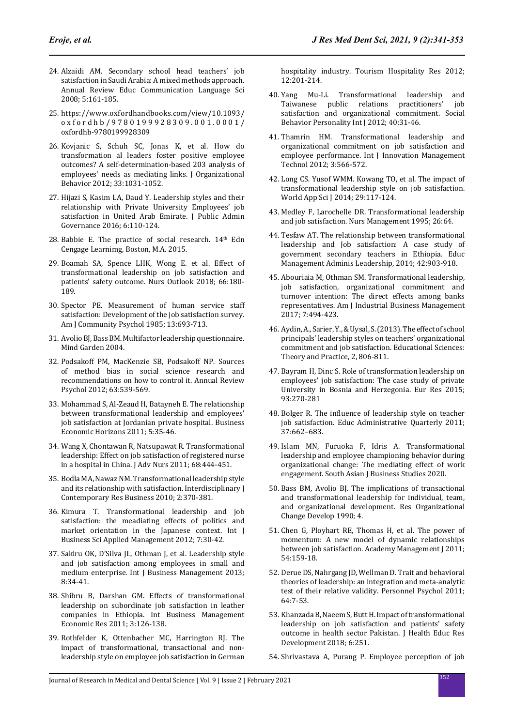- 24. Alzaidi AM. Secondary school head teachers' job satisfaction in Saudi Arabia: A mixed methods approach. Annual Review Educ Communication Language Sci 2008; 5:161-185.
- 25. https://www.oxfordhandbooks.com/view/10.1093/ oxfordhb/9780199928309.001.0001/ oxfordhb-9780199928309
- 26. Kovjanic S, Schuh SC, Jonas K, et al. How do transformation al leaders foster positive employee outcomes? A self-determination-based 203 analysis of employees' needs as mediating links. J Organizational Behavior 2012; 33:1031-1052.
- 27. Hijazi S, Kasim LA, Daud Y. Leadership styles and their relationship with Private University Employees' job satisfaction in United Arab Emirate. J Public Admin Governance 2016; 6:110-124.
- 28. Babbie E. The practice of social research.  $14<sup>th</sup>$  Edn Cengage Learnimg, Boston, M.A. 2015.
- 29. Boamah SA, Spence LHK, Wong E. et al. Effect of transformational leadership on job satisfaction and patients' safety outcome. Nurs Outlook 2018; 66:180- 189.
- 30. Spector PE. Measurement of human service staff satisfaction: Development of the job satisfaction survey. Am J Community Psychol 1985; 13:693-713.
- 31. Avolio BJ, Bass BM. Multifactor leadership questionnaire. Mind Garden 2004.
- 32. Podsakoff PM, MacKenzie SB, Podsakoff NP. Sources of method bias in social science research and recommendations on how to control it. Annual Review Psychol 2012; 63:539-569.
- 33. Mohammad S, Al-Zeaud H, Batayneh E. The relationship between transformational leadership and employees' job satisfaction at Jordanian private hospital. Business Economic Horizons 2011; 5:35-46.
- 34. Wang X, Chontawan R, Natsupawat R. Transformational leadership: Effect on job satisfaction of registered nurse in a hospital in China. J Adv Nurs 2011; 68:444-451.
- 35. Bodla MA, Nawaz NM. Transformational leadership style and its relationship with satisfaction. Interdisciplinary J Contemporary Res Business 2010; 2:370-381.
- 36. Kimura T. Transformational leadership and job satisfaction: the meadiating effects of politics and market orientation in the Japanese context. Int J Business Sci Applied Management 2012; 7:30-42.
- 37. Sakiru OK, D'Silva JL, Othman J, et al. Leadership style and job satisfaction among employees in small and medium enterprise. Int J Business Management 2013; 8:34-41.
- 38. Shibru B, Darshan GM. Effects of transformational leadership on subordinate job satisfaction in leather companies in Ethiopia. Int Business Management Economic Res 2011; 3:126-138.
- 39. Rothfelder K, Ottenbacher MC, Harrington RJ. The impact of transformational, transactional and nonleadership style on employee job satisfaction in German

hospitality industry. Tourism Hospitality Res 2012; 12:201-214.

- 40. Yang Mu-Li. Transformational leadership and Taiwanese public relations practitioners' satisfaction and organizational commitment. Social Behavior Personality Int J 2012; 40:31-46.
- 41. Thamrin HM. Transformational leadership and organizational commitment on job satisfaction and employee performance. Int J Innovation Management Technol 2012; 3:566-572.
- 42. Long CS. Yusof WMM. Kowang TO, et al. The impact of transformational leadership style on job satisfaction. World App Sci J 2014; 29:117-124.
- 43. Medley F, Larochelle DR. Transformational leadership and job satisfaction. Nurs Management 1995; 26:64.
- 44. Tesfaw AT. The relationship between transformational leadership and Job satisfaction: A case study of government secondary teachers in Ethiopia. Educ Management Adminis Leadership, 2014; 42:903-918.
- 45. Abouriaia M, Othman SM. Transformational leadership, job satisfaction, organizational commitment and turnover intention: The direct effects among banks representatives. Am J Industrial Business Management 2017; 7:494-423.
- 46. Aydin, A., Sarier, Y., & Uysal, S. (2013). The effect of school principals' leadership styles on teachers' organizational commitment and job satisfaction. Educational Sciences: Theory and Practice, 2, 806-811.
- 47. Bayram H, Dinc S. Role of transformation leadership on employees' job satisfaction: The case study of private University in Bosnia and Herzegonia. Eur Res 2015; 93:270-281
- 48. Bolger R. The influence of leadership style on teacher job satisfaction. Educ Administrative Quarterly 2011; 37:662–683.
- 49. Islam MN, Furuoka F, Idris A. Transformational leadership and employee championing behavior during organizational change: The mediating effect of work engagement. South Asian J Business Studies 2020.
- 50. Bass BM, Avolio BJ. The implications of transactional and transformational leadership for individual, team, and organizational development. Res Organizational Change Develop 1990; 4.
- 51. Chen G, Ployhart RE, Thomas H, et al. The power of momentum: A new model of dynamic relationships between job satisfaction. Academy Management J 2011; 54:159-18.
- 52. Derue DS, Nahrgang JD, Wellman D. Trait and behavioral theories of leadership: an integration and meta-analytic test of their relative validity. Personnel Psychol 2011; 64:7-53.
- 53. Khanzada B, Naeem S, Butt H. Impact of transformational leadership on job satisfaction and patients' safety outcome in health sector Pakistan. J Health Educ Res Development 2018; 6:251.
- 54. Shrivastava A, Purang P. Employee perception of job